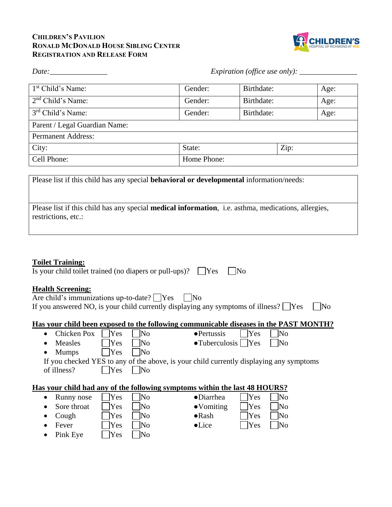## **CHILDREN'S PAVILION RONALD MCDONALD HOUSE SIBLING CENTER REGISTRATION AND RELEASE FORM**



| Date:                         |             |            | Expiration (office use only): $\_\_$ |      |
|-------------------------------|-------------|------------|--------------------------------------|------|
| 1 <sup>st</sup> Child's Name: | Gender:     | Birthdate: |                                      | Age: |
| $2nd$ Child's Name:           | Gender:     | Birthdate: |                                      | Age: |
| 3 <sup>rd</sup> Child's Name: | Gender:     | Birthdate: |                                      | Age: |
| Parent / Legal Guardian Name: |             |            |                                      |      |
| <b>Permanent Address:</b>     |             |            |                                      |      |
| City:                         | State:      |            | Zip:                                 |      |
| Cell Phone:                   | Home Phone: |            |                                      |      |

Please list if this child has any special **behavioral or developmental** information/needs:

| Please list if this child has any special <b>medical information</b> , i.e. asthma, medications, allergies, |  |
|-------------------------------------------------------------------------------------------------------------|--|
| restrictions, etc.:                                                                                         |  |

## **Toilet Training:**

| Is your child toilet trained (no diapers or pull-ups)? $\Box$ Yes $\Box$ No |  |
|-----------------------------------------------------------------------------|--|
|-----------------------------------------------------------------------------|--|

# **Health Screening:**

| Are child's immunizations up-to-date? $\Box$ Yes<br>$ $ No                                 |           |
|--------------------------------------------------------------------------------------------|-----------|
| If you answered NO, is your child currently displaying any symptoms of illness? $\Box$ Yes | $\Box$ No |

#### **Has your child been exposed to the following communicable diseases in the PAST MONTH?**

| Chicken Pox               | Yes | No                     | $\bullet$ Pertussis                                                                     | Yes | N <sub>0</sub> |  |
|---------------------------|-----|------------------------|-----------------------------------------------------------------------------------------|-----|----------------|--|
| Measles                   | Yes | lNo                    | $\bullet$ Tuberculosis   Yes                                                            |     | lNo            |  |
| <b>Mumps</b><br>$\bullet$ | Yes | Nο                     |                                                                                         |     |                |  |
|                           |     |                        | If you checked YES to any of the above, is your child currently displaying any symptoms |     |                |  |
| of illness?               | Yes | $\overline{\text{No}}$ |                                                                                         |     |                |  |
|                           |     |                        |                                                                                         |     |                |  |
|                           |     |                        | Has your child had any of the following symptoms within the last 48 HOURS?              |     |                |  |
| Runny nose<br>$\bullet$   | Yes | INo                    | $\bullet$ Diarrhea                                                                      | Yes | No             |  |
| Sore throat               | Yes | Nο                     | $\bullet$ Vomiting                                                                      | Yes |                |  |

- Cough  $\bigcap$  Yes  $\bigcap$  No  $\bigcap$  Rash  $\bigcap$  Yes  $\bigcap$  No • Fever ∑ Yes No ●Lice ∑ Yes No
- Pink Eye  $\Box$  Yes  $\Box$  No